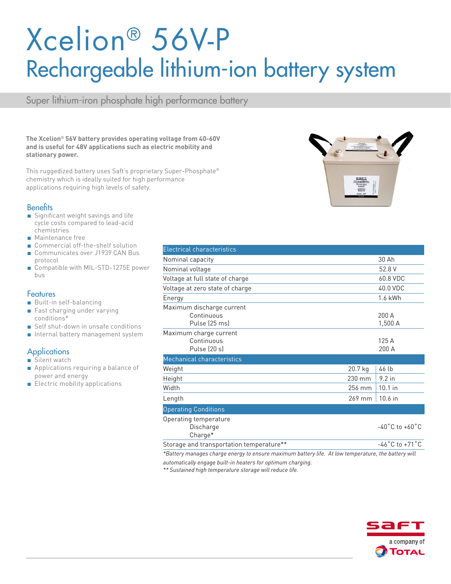# Xcelion® 56V-P Rechargeable lithium-ion battery system

Super lithium-iron phosphate high performance battery

**The Xcelion**® **56V battery provides operating voltage from 40-60V and is useful for 48V applications such as electric mobility and stationary power.** 

This ruggedized battery uses Saft's proprietary Super-Phosphate® chemistry which is ideally suited for high performance applications requiring high levels of safety.

#### **Benefits**

- Significant weight savings and life cycle costs compared to lead-acid chemistries
- Maintenance free
- Commercial off-the-shelf solution
- Communicates over J1939 CAN Bus protocol
- Compatible with MIL-STD-1275E power bus

#### **Features**

- Built-in self-balancing
- Fast charging under varying conditions\*
- Self shut-down in unsafe conditions
- Internal battery management system

#### **Applications**

- Silent watch
- Applications requiring a balance of power and energy
- Electric mobility applications

| <b>Electrical characteristics</b>                        |         |                                    |
|----------------------------------------------------------|---------|------------------------------------|
| Nominal capacity                                         |         | 30 Ah                              |
| Nominal voltage                                          |         | 52.8 V                             |
| Voltage at full state of charge                          |         | 60.8 VDC                           |
| Voltage at zero state of charge                          |         | 40.0 VDC                           |
| Energy                                                   |         | 1.6 kWh                            |
| Maximum discharge current<br>Continuous<br>Pulse (25 ms) |         | 200 A<br>1,500 A                   |
| Maximum charge current<br>Continuous<br>Pulse (20 s)     |         | 125 A<br>200 A                     |
| Mechanical characteristics                               |         |                                    |
| Weight                                                   | 20.7 kg | 46 lb                              |
| Height                                                   | 230 mm  | $9.2$ in                           |
| Width                                                    | 256 mm  | $10.1$ in                          |
| Length                                                   | 269 mm  | 10.6 in                            |
| <b>Operating Conditions</b>                              |         |                                    |
| Operating temperature<br>Discharge<br>Charge*            |         | $-40^{\circ}$ C to $+60^{\circ}$ C |
| Storage and transportation temperature**                 |         | $-46^{\circ}$ C to $+71^{\circ}$ C |

*\*Battery manages charge energy to ensure maximum battery life. At low temperature, the battery will* 

*automatically engage built-in heaters for optimum charging.*

*\*\* Sustained high temperature storage will reduce life.*